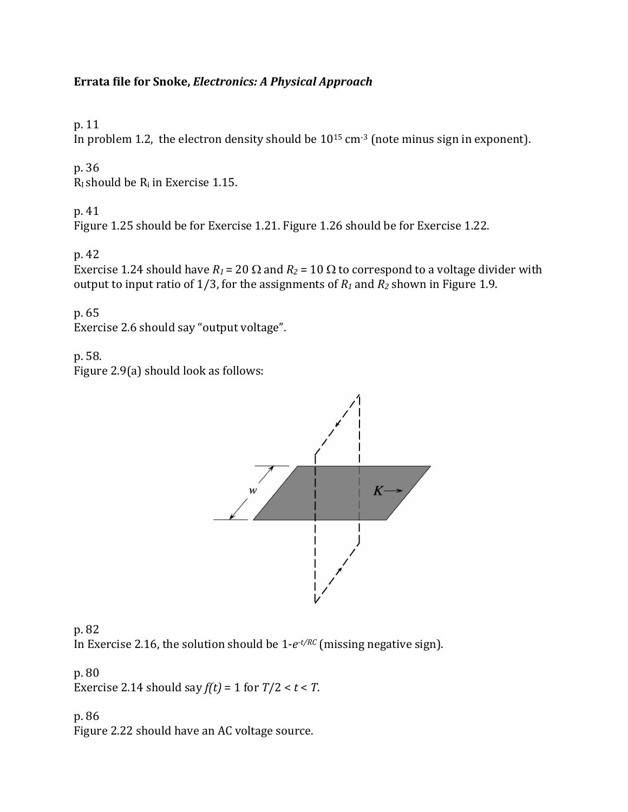### Errata file for Snoke, *Electronics: A Physical Approach*

p. 11 

In problem 1.2, the electron density should be  $10^{15}$  cm<sup>-3</sup> (note minus sign in exponent).

p. 36

 $R<sub>I</sub>$  should be  $R<sub>i</sub>$  in Exercise 1.15.

p. 41 

Figure 1.25 should be for Exercise 1.21. Figure 1.26 should be for Exercise 1.22.

p. 42 

Exercise 1.24 should have  $R_1$  = 20  $\Omega$  and  $R_2$  = 10  $\Omega$  to correspond to a voltage divider with output to input ratio of 1/3, for the assignments of  $R_1$  and  $R_2$  shown in Figure 1.9.

p. 65 Exercise 2.6 should say "output voltage".

p. 58. 

Figure  $2.9(a)$  should look as follows:





p. 80 Exercise 2.14 should say  $f(t) = 1$  for  $T/2 < t < T$ .

p. 86 Figure 2.22 should have an AC voltage source.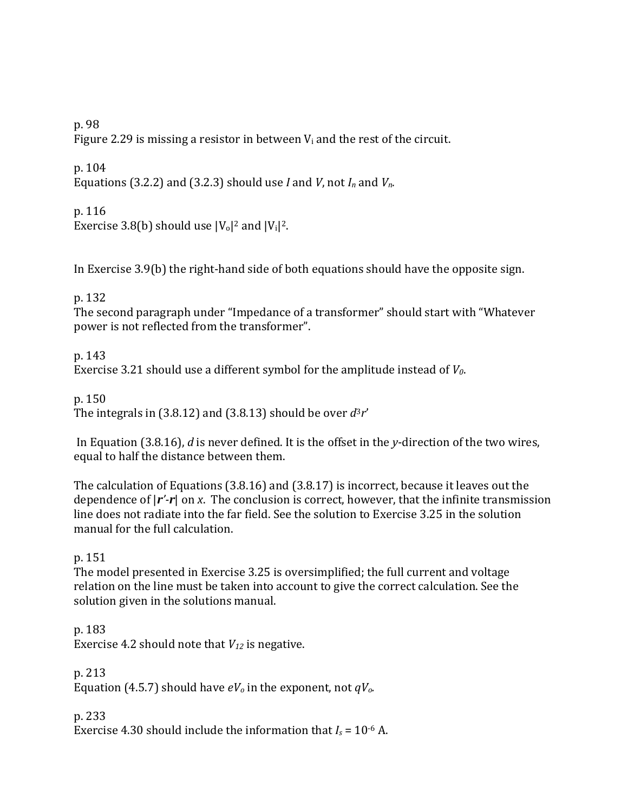p. 98

Figure 2.29 is missing a resistor in between  $V_i$  and the rest of the circuit.

p. 104 Equations (3.2.2) and (3.2.3) should use *I* and *V*, not  $I_n$  and  $V_n$ .

p. 116 Exercise 3.8(b) should use  $|V_0|^2$  and  $|V_1|^2$ .

In Exercise  $3.9(b)$  the right-hand side of both equations should have the opposite sign.

p. 132 

The second paragraph under "Impedance of a transformer" should start with "Whatever power is not reflected from the transformer".

p. 143 

Exercise 3.21 should use a different symbol for the amplitude instead of *V*<sub>0</sub>.

p. 150 

The integrals in (3.8.12) and (3.8.13) should be over  $d^3r'$ 

In Equation (3.8.16), *d* is never defined. It is the offset in the *y*-direction of the two wires, equal to half the distance between them.

The calculation of Equations  $(3.8.16)$  and  $(3.8.17)$  is incorrect, because it leaves out the dependence of  $|r'$ - $r$  on *x*. The conclusion is correct, however, that the infinite transmission line does not radiate into the far field. See the solution to Exercise 3.25 in the solution manual for the full calculation.

p. 151

The model presented in Exercise 3.25 is oversimplified; the full current and voltage relation on the line must be taken into account to give the correct calculation. See the solution given in the solutions manual.

p. 183 Exercise 4.2 should note that  $V_{12}$  is negative.

p. 213 Equation (4.5.7) should have  $eV_0$  in the exponent, not  $qV_0$ .

p. 233 Exercise 4.30 should include the information that  $I_s = 10^{-6}$  A.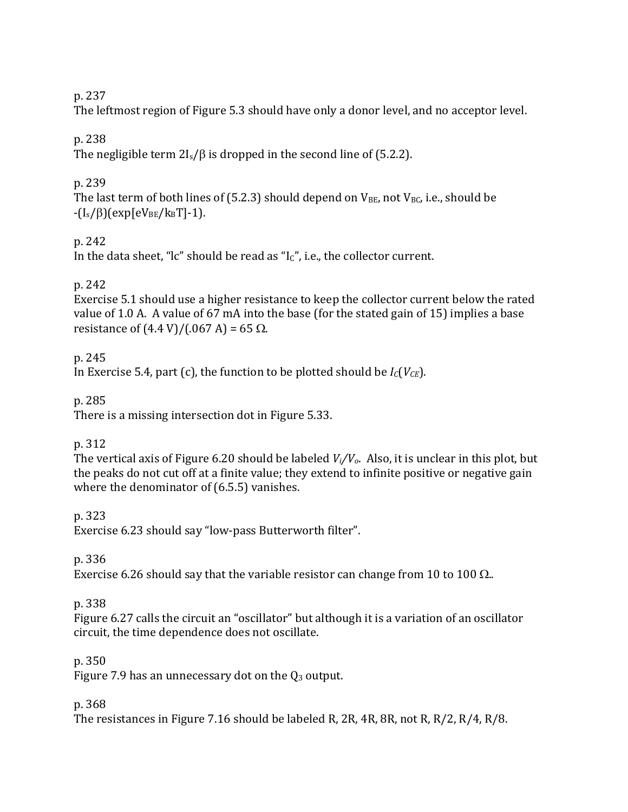#### p. 237

The leftmost region of Figure 5.3 should have only a donor level, and no acceptor level.

## p. 238

The negligible term  $2I_s/\beta$  is dropped in the second line of (5.2.2).

### p. 239

The last term of both lines of (5.2.3) should depend on  $V_{BE}$ , not  $V_{BC}$ , i.e., should be  $-(I_s/\beta)(exp[eV_{BE}/k_BT]-1).$ 

### p. 242

In the data sheet, "lc" should be read as "Ic", i.e., the collector current.

### p. 242

Exercise 5.1 should use a higher resistance to keep the collector current below the rated value of 1.0 A. A value of 67 mA into the base (for the stated gain of 15) implies a base resistance of  $(4.4 \text{ V})/(0.67 \text{ A}) = 65 \Omega$ .

### p. 245

In Exercise 5.4, part (c), the function to be plotted should be  $I_c(V_{CE})$ .

### p. 285

There is a missing intersection dot in Figure 5.33.

### p. 312

The vertical axis of Figure 6.20 should be labeled  $V_i/V_o$ . Also, it is unclear in this plot, but the peaks do not cut off at a finite value; they extend to infinite positive or negative gain where the denominator of  $(6.5.5)$  vanishes.

### p. 323

Exercise 6.23 should say "low-pass Butterworth filter".

### p. 336

Exercise 6.26 should say that the variable resistor can change from 10 to 100  $\Omega$ ..

### p. 338

Figure 6.27 calls the circuit an "oscillator" but although it is a variation of an oscillator circuit, the time dependence does not oscillate.

# p. 350

Figure 7.9 has an unnecessary dot on the  $Q_3$  output.

### p. 368

The resistances in Figure 7.16 should be labeled R, 2R, 4R, 8R, not R, R/2, R/4, R/8.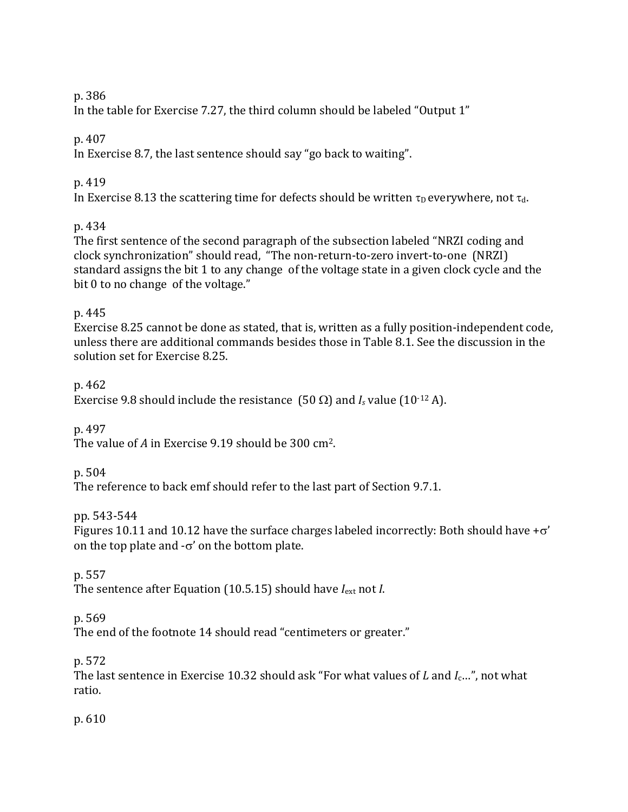#### p. 386

In the table for Exercise 7.27, the third column should be labeled "Output 1"

### p. 407

In Exercise 8.7, the last sentence should say "go back to waiting".

## p. 419

In Exercise 8.13 the scattering time for defects should be written  $\tau_D$  everywhere, not  $\tau_d$ .

# p. 434

The first sentence of the second paragraph of the subsection labeled "NRZI coding and clock synchronization" should read, "The non-return-to-zero invert-to-one (NRZI) standard assigns the bit 1 to any change of the voltage state in a given clock cycle and the bit  $0$  to no change of the voltage."

### p. 445

Exercise 8.25 cannot be done as stated, that is, written as a fully position-independent code, unless there are additional commands besides those in Table 8.1. See the discussion in the solution set for Exercise 8.25.

### p. 462

Exercise 9.8 should include the resistance  $(50 \Omega)$  and *I<sub>s</sub>* value  $(10^{-12} \text{ A})$ .

p. 497 

The value of A in Exercise  $9.19$  should be  $300$  cm<sup>2</sup>.

# p. 504

The reference to back emf should refer to the last part of Section 9.7.1.

# pp. 543-544

Figures 10.11 and 10.12 have the surface charges labeled incorrectly: Both should have  $+\sigma'$ on the top plate and  $-\sigma'$  on the bottom plate.

# p. 557

The sentence after Equation  $(10.5.15)$  should have  $I_{ext}$  not *I*.

# p. 569

The end of the footnote 14 should read "centimeters or greater."

# p. 572

The last sentence in Exercise 10.32 should ask "For what values of *L* and *I<sub>c</sub>*…", not what ratio.

p. 610